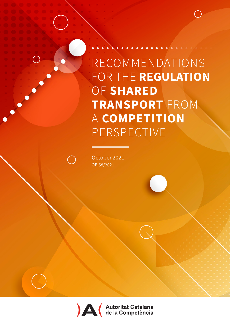October 2021 OB 58/2021

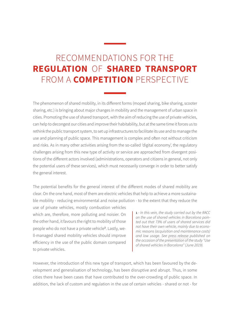The phenomenon of shared mobility, in its different forms (moped sharing, bike sharing, scooter sharing, etc.) is bringing about major changes in mobility and the management of urban space in cities. Promoting the use of shared transport, with the aim of reducing the use of private vehicles, can help to decongest our cities and improve their habitability, but at the same time it forces us to rethink the public transport system, to set up infrastructures to facilitate its use and to manage the use and planning of public space. This management is complex and often not without criticism and risks. As in many other activities arising from the so-called 'digital economy', the regulatory challenges arising from this new type of activity or service are approached from divergent positions of the different actors involved (administrations, operators and citizens in general, not only the potential users of these services), which must necessarily converge in order to better satisfy the general interest.

The potential benefits for the general interest of the different modes of shared mobility are clear. On the one hand, most of them are electric vehicles that help to achieve a more sustainable mobility - reducing environmental and noise pollution - to the extent that they reduce the

use of private vehicles, mostly combustion vehicles which are, therefore, more polluting and noisier. On the other hand, it favours the right to mobility of those people who do not have a private vehicle<sup>1</sup>. Lastly, well-managed shared mobility vehicles should improve efficiency in the use of the public domain compared to private vehicles.

1 *- In this vein, the study carried out by the RACC on the use of shared vehicles in Barcelona pointed out that 73% of users of shared services did not have their own vehicle, mainly due to economic reasons (acquisition and maintenance costs) and low usage. See [press release](http://saladeprensa.racc.es/wp-content/uploads/2019/07/NP-RACC-SHARING-ES.pdf) published on the occasion of the presentation of the study "Use of shared vehicles in Barcelona" (June 2019).*

However, the introduction of this new type of transport, which has been favoured by the development and generalisation of technology, has been disruptive and abrupt. Thus, in some cities there have been cases that have contributed to the over-crowding of public space. In addition, the lack of custom and regulation in the use of certain vehicles - shared or not - for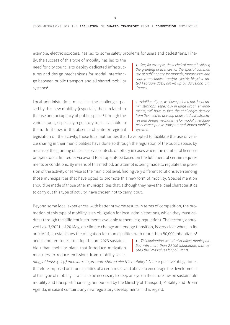example, electric scooters, has led to some safety problems for users and pedestrians. Fina-

lly, the success of this type of mobility has led to the need for city councils to deploy dedicated infrastructures and design mechanisms for modal interchange between public transport and all shared mobility systems<sup>2</sup>.

2 *- See, for example, the technical report justifying the granting of licences for the special common use of public space for mopeds, motorcycles and shared mechanical and/or electric bicycles, dated February 2019, drawn up by Barcelona City Council.* 

Local administrations must face the challenges posed by this new mobility (especially those related to the use and occupancy of public space)<sup>3</sup> through the various tools, especially regulatory tools, available to them. Until now, in the absence of state or regional

3 *- Additionally, as we have pointed out, local administrations, especially in large urban environments, will have to face the challenges derived from the need to develop dedicated infrastructures and design mechanisms for modal interchange between public transport and shared mobility systems.*

legislation on the activity, those local authorities that have opted to facilitate the use of vehicle sharing in their municipalities have done so through the regulation of the public space, by means of the granting of licenses (via contests or lottery in cases where the number of licenses or operators is limited or via award to all operators) based on the fulfilment of certain requirements or conditions. By means of this method, an attempt is being made to regulate the provision of the activity or service at the municipal level, finding very different solutions even among those municipalities that have opted to promote this new form of mobility. Special mention should be made of those other municipalities that, although they have the ideal characteristics to carry out this type of activity, have chosen not to carry it out.

Beyond some local experiences, with better or worse results in terms of competition, the promotion of this type of mobility is an obligation for local administrations, which they must address through the different instruments available to them (e.g. regulation). The recently approved Law 7/2021, of 20 May, on climate change and energy transition, is very clear when, in its article 14, it establishes the obligation for municipalities with more than 50,000 inhabitants<sup>4</sup>

and island territories, to adopt before 2023 sustainable urban mobility plans that introduce mitigation measures to reduce emissions from mobility *inclu-* 4 *- This obligation would also affect municipalities with more than 20,000 inhabitants that exceed the limit values for pollutants.*

*ding, at least: (...) (f) measures to promote shared electric mobility"*. A clear positive obligation is therefore imposed on municipalities of a certain size and above to encourage the development of this type of mobility. It will also be necessary to keep an eye on the future law on sustainable mobility and transport financing, announced by the Ministry of Transport, Mobility and Urban Agenda, in case it contains any new regulatory developments in this regard.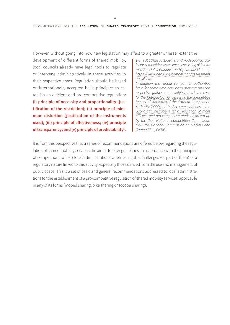However, without going into how new legislation may affect to a greater or lesser extent the

development of different forms of shared mobility, local councils already have legal tools to regulate or intervene administratively in these activities in their respective areas. Regulation should be based on internationally accepted basic principles to establish an efficient and pro-competitive regulation: (i) principle of necessity and proportionality ( justification of the restriction); (ii) principle of minimum distortion (justification of the instruments used); (iii) principle of effectiveness; (iv) principle of transparency; and (v) principle of predictability<sup>5</sup>.

5 *- The OECD has put together and made public a toolkit for competition assessment consisting of 3 volumes (Principles, Guidance and Operations Manual): [https://www.oecd.org/competition/assessment](https://www.oecd.org/competition/assessment-toolkit.htm) [-toolkit.htm](https://www.oecd.org/competition/assessment-toolkit.htm)*

*In addition, the various competition authorities have for some time now been drawing up their respective guides on the subject; this is the case for the [Methodology for assessing the competitive](http://acco.gencat.cat/ca/detall/article/Metodologia-per-avaluar-limpacte-competitiu-de-les-normes#bloc2) [impact of standards](http://acco.gencat.cat/ca/detall/article/Metodologia-per-avaluar-limpacte-competitiu-de-les-normes#bloc2),of the Catalan Competition Authority (ACCO), or the [Recommendations to the](https://www.cnmc.es/guia-recomendaciones-aapp) [public administrations for a regulation of more](https://www.cnmc.es/guia-recomendaciones-aapp) [efficient and pro-competitive markets](https://www.cnmc.es/guia-recomendaciones-aapp), drawn up by the then National Competition Commission (now the National Commission on Markets and Competition, CNMC).*

It is from this perspective that a series of recommendations are offered below regarding the regulation of shared mobility services.The aim is to offer guidelines, in accordance with the principles of competition, to help local administrations when facing the challenges (or part of them) of a regulatory nature linked to this activity, especially those derived from the use and management of public space. This is a set of basic and general recommendations addressed to local administrations for the establishment of a pro-competitive regulation of shared mobility services, applicable in any of its forms (moped sharing, bike sharing or scooter sharing).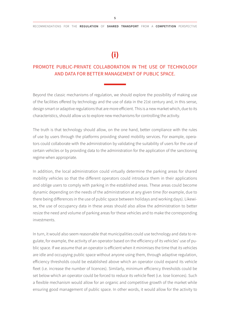### **(i)**

#### PROMOTE PUBLIC-PRIVATE COLLABORATION IN THE USE OF TECHNOLOGY AND DATA FOR BETTER MANAGEMENT OF PUBLIC SPACE.

Beyond the classic mechanisms of regulation, we should explore the possibility of making use of the facilities offered by technology and the use of data in the 21st century and, in this sense, design smart or adaptive regulations that are more efficient. This is a new market which, due to its characteristics, should allow us to explore new mechanisms for controlling the activity.

The truth is that technology should allow, on the one hand, better compliance with the rules of use by users through the platforms providing shared mobility services. For example, operators could collaborate with the administration by validating the suitability of users for the use of certain vehicles or by providing data to the administration for the application of the sanctioning regime when appropriate.

In addition, the local administration could virtually determine the parking areas for shared mobility vehicles so that the different operators could introduce them in their applications and oblige users to comply with parking in the established areas. These areas could become dynamic depending on the needs of the administration at any given time (for example, due to there being differences in the use of public space between holidays and working days). Likewise, the use of occupancy data in these areas should also allow the administration to better resize the need and volume of parking areas for these vehicles and to make the corresponding investments.

In turn, it would also seem reasonable that municipalities could use technology and data to regulate, for example, the activity of an operator based on the efficiency of its vehicles' use of public space. If we assume that an operator is efficient when it minimises the time that its vehicles are idle and occupying public space without anyone using them, through adaptive regulation, efficiency thresholds could be established above which an operator could expand its vehicle fleet (i.e. increase the number of licences). Similarly, minimum efficiency thresholds could be set below which an operator could be forced to reduce its vehicle fleet (i.e. lose licences). Such a flexible mechanism would allow for an organic and competitive growth of the market while ensuring good management of public space. In other words, it would allow for the activity to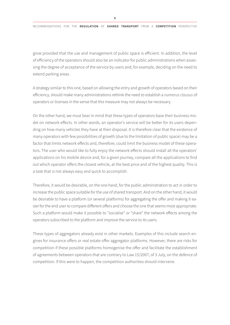6

grow provided that the use and management of public space is efficient. In addition, the level of efficiency of the operators should also be an indicator for public administrations when assessing the degree of acceptance of the service by users and, for example, deciding on the need to extend parking areas.

A strategy similar to this one, based on allowing the entry and growth of operators based on their efficiency, should make many administrations rethink the need to establish a *numerus clausus* of operators or licenses in the sense that this measure may not always be necessary.

On the other hand, we must bear in mind that these types of operators base their business model on network effects. In other words, an operator's service will be better for its users depending on how many vehicles they have at their disposal. It is therefore clear that the existence of many operators with few possibilities of growth (due to the limitation of public space) may be a factor that limits network effects and, therefore, could limit the business model of these operators. The user who would like to fully enjoy the network effects should install all the operators' applications on his mobile device and, for a given journey, compare all the applications to find out which operator offers the closest vehicle, at the best price and of the highest quality. This is a task that is not always easy and quick to accomplish.

Therefore, it would be desirable, on the one hand, for the public administration to act in order to increase the public space suitable for the use of shared transport. And on the other hand, it would be desirable to have a platform (or several platforms) for aggregating the offer and making it easier for the end user to compare different offers and choose the one that seems most appropriate. Such a platform would make it possible to "socialise" or "share" the network effects among the operators subscribed to the platform and improve the service to its users.

These types of aggregators already exist in other markets. Examples of this include search engines for insurance offers or real estate offer aggregator platforms. However, there are risks for competition if these possible platforms homogenise the offer and facilitate the establishment of agreements between operators that are contrary to Law 15/2007, of 3 July, on the defence of competition. If this were to happen, the competition authorities should intervene.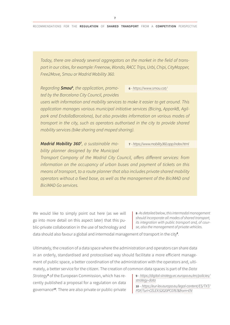*Today, there are already several aggregators on the market in the field of transport in our cities, for example: Freenow, Wondo, RACC Trips, Urbi, Chipi, CityMapper, Free2Move, Smou or Madrid Mobility 360.*

Regarding **Smou<sup>6</sup>**, the application, promo*ted by the Barcelona City Council, provides* 

6 *- <https://www.smou.cat/>*

*users with information and mobility services to make it easier to get around. This application manages various municipal initiative services (Bicing, ApparkB, Agilpark and EndollaBarcelona), but also provides information on various modes of transport in the city, such as operators authorised in the city to provide shared mobility services (bike sharing and moped sharing).*

*Madrid Mobility 360*<sup>7</sup> *, a sustainable mobility planner designed by the Municipal*  7 *- <https://www.mobility360.app/index.html>*

*Transport Company of the Madrid City Council, offers different services: from information on the occupancy of urban buses and payment of tickets on this means of transport, to a route planner that also includes private shared mobility operators without a fixed base, as well as the management of the BiciMAD and BiciMAD Go services.*

We would like to simply point out here (as we will go into more detail on this aspect later) that this public-private collaboration in the use of technology and

8 *- As detailed below, this intermodal management should incorporate all modes of shared transport, its integration with public transport and, of course, also the management of private vehicles.* 

data should also favour a global and intermodal management of transport in the city<sup>8</sup>.

Ultimately, the creation of a data space where the administration and operators can share data in an orderly, standardised and protocolised way should facilitate a more efficient management of public space, a better coordination of the administration with the operators and, ultimately, a better service for the citizen. The creation of common data spaces is part of the *Data* 

*Strategy*<sup>9</sup> of the European Commission, which has recently published a proposal for a regulation on data governance<sup>10</sup>. There are also private or public-private 9 *- [https://digital-strategy.ec.europa.eu/en/policies/](https://digital-strategy.ec.europa.eu/en/policies/strategy-data) [strategy-data](https://digital-strategy.ec.europa.eu/en/policies/strategy-data)*

10 *- [https://eur-lex.europa.eu/legal-content/ES/TXT/](https://eur-lex.europa.eu/legal-content/ES/TXT/PDF/?uri=CELEX:52020PC0767&from=EN) [PDF/?uri=CELEX:52020PC0767&from=EN](https://eur-lex.europa.eu/legal-content/ES/TXT/PDF/?uri=CELEX:52020PC0767&from=EN)*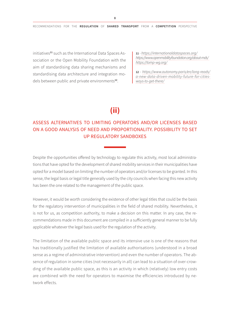initiatives<sup>11</sup> such as the International Data Spaces Association or the Open Mobility Foundation with the aim of standardising data sharing mechanisms and standardising data architecture and integration models between public and private environments<sup>12</sup>.

11 *- <https://internationaldataspaces.org/> <https://www.openmobilityfoundation.org/about-mds/> <https://tomp-wg.org/>*

12 *- [https://www.autonomy.paris/en/long-reads/]( https://www.autonomy.paris/en/long-reads/a-new-data-driven-mobility-future-for-cities-ways-to-get-there/) [a-new-data-driven-mobility-future-for-cities]( https://www.autonomy.paris/en/long-reads/a-new-data-driven-mobility-future-for-cities-ways-to-get-there/)[ways-to-get-there/]( https://www.autonomy.paris/en/long-reads/a-new-data-driven-mobility-future-for-cities-ways-to-get-there/)*

### **(ii)**

#### ASSESS ALTERNATIVES TO LIMITING OPERATORS AND/OR LICENSES BASED ON A GOOD ANALYSIS OF NEED AND PROPORTIONALITY. POSSIBILITY TO SET UP REGULATORY SANDBOXES

Despite the opportunities offered by technology to regulate this activity, most local administrations that have opted for the development of shared mobility services in their municipalities have opted for a model based on limiting the number of operators and/or licenses to be granted. In this sense, the legal basis or legal title generally used by the city councils when facing this new activity has been the one related to the management of the public space.

However, it would be worth considering the existence of other legal titles that could be the basis for the regulatory intervention of municipalities in the field of shared mobility. Nevertheless, it is not for us, as competition authority, to make a decision on this matter. In any case, the recommendations made in this document are compiled in a sufficiently general manner to be fully applicable whatever the legal basis used for the regulation of the activity.

The limitation of the available public space and its intensive use is one of the reasons that has traditionally justified the limitation of available authorisations (understood in a broad sense as a regime of administrative intervention) and even the number of operators. The absence of regulation in some cities (not necessarily in all) can lead to a situation of over-crowding of the available public space, as this is an activity in which (relatively) low entry costs are combined with the need for operators to maximise the efficiencies introduced by network effects.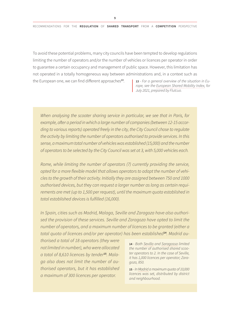9

To avoid these potential problems, many city councils have been tempted to develop regulations limiting the number of operators and/or the number of vehicles or licences per operator in order to guarantee a certain occupancy and management of public space. However, this limitation has not operated in a totally homogeneous way between administrations and, in a context such as the European one, we can find different approaches<sup>13</sup>. 13 *- For a general overview of the situation in Eu-*

*rope, see the [European Shared Mobility Index](https://mcusercontent.com/baa57cfb15e41471e5dd992db/files/2d18889f-9866-0237-503b-dc8e8bb2fd4c/European_Shared_Mobility_Index_2_2021_07_.pdf), for July 2021, prepared by Flutcuo.*

*When analysing the scooter sharing service in particular, we see that in Paris, for example, after a period in which a large number of companies (between 12-15 according to various reports) operated freely in the city, the City Council chose to regulate the activity by limiting the number of operators authorised to provide services. In this sense, a maximum total number of vehicles was established (15,000) and the number of operators to be selected by the City Council was set at 3, with 5,000 vehicles each.*

*Rome, while limiting the number of operators (7) currently providing the service, opted for a more flexible model that allows operators to adapt the number of vehicles to the growth of their activity. Initially they are assigned between 750 and 1000 authorised devices, but they can request a larger number as long as certain requirements are met (up to 1,500 per request), until the maximum quota established in total established devices is fulfilled (16,000).*

*In Spain, cities such as Madrid, Malaga, Seville and Zaragoza have also authorised the provision of these services. Seville and Zaragoza have opted to limit the number of operators, and a maximum number of licences to be granted (either a total quota of licences and/or per operator) has been established*14*. Madrid au-*

*thorised a total of 18 operators (they were not limited in number), who were allocated a total of 8,610 licences by tender*15*. Malaga also does not limit the number of authorised operators, but it has established a maximum of 300 licences per operator.*

14 *- Both [Sevilla](https://www.urbanismosevilla.org/areas/sostenibilidad-innovacion/sevilla-en-bici/proyecto-piloto-implantacion-servicio-explotacion-vehiculos-de-movilidad-personal-1/proyecto-piloto-implantacion-servicio-explotacion-vehiculos-de-movilidad-personal) and [Saragossa](https://www.zaragoza.es/sede/servicio/contratacion-publica/3597) limited the number of authorised shared scooter operators to 2. In the case of Seville, it has 1,000 licences per operator; Zaragoza, 850.*

15 *- In [Madrid](https://sede.madrid.es/portal/site/tramites/menuitem.62876cb64654a55e2dbd7003a8a409a0/?vgnextoid=05667b7f7b996610VgnVCM2000001f4a900aRCRD&vgnextchannel=8c4d5d53be9a0210VgnVCM100000171f5a0aRCRD&vgnextfmt=default) a maximum quota of 10,000 licences was set, distributed by district and neighbourhood.*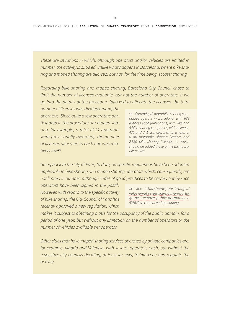*These are situations in which, although operators and/or vehicles are limited in number, the activity is allowed, unlike what happens in Barcelona, where bike sharing and moped sharing are allowed, but not, for the time being, scooter sharing.*

*Regarding bike sharing and moped sharing, Barcelona City Council chose to limit the number of licenses available, but not the number of operators. If we go into the details of the procedure followed to allocate the licenses, the total* 

*number of licenses was divided among the operators. Since quite a few operators participated in the procedure (for moped sharing, for example, a total of 21 operators were provisionally awarded), the number of licenses allocated to each one was relatively low*<sup>16</sup>*.*

16 *- Currently, 10 motorbike sharing companies operate in Barcelona, with 633 licences each (except one, with 348) and 5 bike sharing companies, with between 470 and 741 licences, that is, a total of 6,040 motorbike sharing licences and 2,850 bike sharing licences, to which should be added those of the Bicing public service.*

*Going back to the city of Paris, to date, no specific regulations have been adopted applicable to bike sharing and moped sharing operators which, consequently, are not limited in number, although codes of good practices to be carried out by such* 

*operators have been signed in the past<sup>17</sup>. However, with regard to the specific activity of bike sharing, the City Council of Paris has recently approved a new regulation, which* 

17 *- See: [https://www.paris.fr/pages/](https://www.paris.fr/pages/velos-en-libre-service-pour-un-partage-de-l-espace-public-harmonieux-5286#les-scooters-en-free-floating) [velos-en-libre-service-pour-un-parta](https://www.paris.fr/pages/velos-en-libre-service-pour-un-partage-de-l-espace-public-harmonieux-5286#les-scooters-en-free-floating)[ge-de-l-espace-public-harmonieux-](https://www.paris.fr/pages/velos-en-libre-service-pour-un-partage-de-l-espace-public-harmonieux-5286#les-scooters-en-free-floating)[5286#les-scooters-en-free-floating](https://www.paris.fr/pages/velos-en-libre-service-pour-un-partage-de-l-espace-public-harmonieux-5286#les-scooters-en-free-floating)*

*makes it subject to obtaining a title for the occupancy of the public domain, for a period of one year, but without any limitation on the number of operators or the number of vehicles available per operator.*

*Other cities that have moped sharing services operated by private companies are, for example, Madrid and Valencia, with several operators each, but without the respective city councils deciding, at least for now, to intervene and regulate the activity.*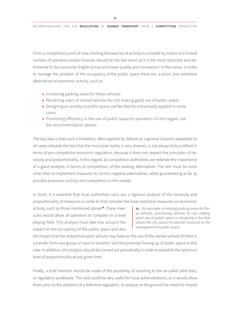From a competition point of view, limiting the exercise of activity in a market by means of a limited number of operators and/or licences should be the last resort as it is the most restrictive and detrimental to the consumer (higher prices and lower quality and innovation). In this sense, in order to manage the problem of the occupancy of the public space there are, a priori, less restrictive alternatives to economic activity, such as:

- $\rightarrow$  Increasing parking areas for these vehicles.
- → Penalising users of shared vehicles for not making good use of public space.
- → Designing an activity or public space use fee like the one already applied in some cases.
- → Prioritising efficiency in the use of public space by operators (in this regard, see the recommendation above).

The key idea is that such a limitation, often applied by default as a general solution adaptable to all cases (despite the fact that the municipal reality is very diverse), is not always fully justified in terms of pro-competitive economic regulation, because it does not respect the principles of necessity and proportionality. In this regard, as competition authorities, we reiterate the importance of a good analysis, in terms of competition, of the existing alternatives. The aim must be none other than to implement measures to correct negative externalities, while guaranteeing as far as possible economic activity and competition in the market.

In short, it is essential that local authorities carry out a rigorous analysis of the necessity and proportionality of measures in order to first consider the least restrictive measures on economic

activity, such as those mentioned above<sup>18</sup>. These measures would allow all operators to compete on a level playing field. This analysis must take into account the impact on the occupancy of the public space and also

18 *- For example, increasing parking areas for these vehicles, sanctioning vehicles for not making good use of public space or designing a fee that allows the city council to allocate resources to the management of public space.*

the impact that the shared transport activity may have on the use of the owned vehicle (if there is a transfer from one group of users to another) and the potential freeing up of public space in this case. In addition, this analysis should be carried out periodically in order to establish the optimum level of proportionality at any given time.

Finally, a brief mention should be made of the possibility of resorting to the so-called pilot tests, or regulatory sandboxes. This tool could be very useful for local administrations, as it would allow them, prior to the adoption of a definitive regulation, to analyse on the ground the needs for shared

11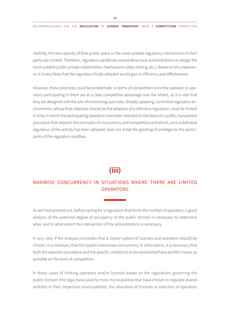mobility, the real capacity of their public space or the most suitable regulatory mechanisms in their particular context. Therefore, regulatory sandboxes would allow local administrations to design the most suitable public-private collaboration mechanisms (data sharing, etc.). Based on this experience, it is very likely that the regulation finally adopted would gain in efficiency and effectiveness.

However, these pilot tests could be problematic in terms of competition since the operator or operators participating in them are at a clear competitive advantage over the others, so it is vital that they are designed with the aim of minimising such risks. Broadly speaking, controlled regulatory environments, whose final objective should be the adoption of a definitive regulation, must be limited in time, in which the participating operators have been selected on the basis of a public, transparent procedure that respects the principles of concurrency and competition and which, once a definitive regulation of the activity has been adopted, does not entail the granting of privileges to the participants of the regulatory sandbox.

### **(iii)**

#### MAXIMISE CONCURRENCY IN SITUATIONS WHERE THERE ARE LIMITED **OPERATORS**

As we have pointed out, before opting for a regulation that limits the number of operators, a good analysis of the potential degree of occupancy of the public domain is necessary to determine when and to what extent the intervention of the administration is necessary.

In any case, if the analysis concludes that a closed system of licenses and operators should be chosen, it is necessary that this system maximises concurrency. In other words, it is necessary that both the selection procedure and the specific conditions to be established have as little impact as possible on the level of competition.

In these cases of limiting operators and/or licenses based on the regulations governing the public domain (the legal basis used by most municipalities that have chosen to regulate shared mobility in their respective municipalities), the allocation of licenses or selection of operators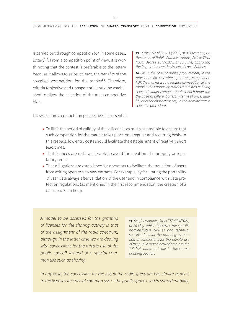is carried out through competition (or, in some cases, lottery)<sup>19</sup>. From a competition point of view, it is worth noting that the contest is preferable to the lottery because it allows to seize, at least, the benefits of the so-called competition for the market<sup>20</sup>. Therefore, criteria (objective and transparent) should be established to allow the selection of the most competitive bids.

19 *- Article 92 of Law 33/2003, of 3 November, on the Assets of Public Administrations; Article 77 of Royal Decree 1372/1986, of 13 June, approving the Regulations on the Assets of Local Entities.*

20 *- As in the case of public procurement, in the procedure for selecting operators, competition FOR the market would replace competition IN the market: the various operators interested in being selected would compete against each other (on the basis of different offers in terms of price, quality or other characteristics) in the administrative selection procedure.*

Likewise, from a competition perspective, it is essential:

- $\rightarrow$  To limit the period of validity of these licences as much as possible to ensure that such competition for the market takes place on a regular and recurring basis. In this respect, low entry costs should facilitate the establishment of relatively short lead times.
- → That licences are not transferable to avoid the creation of monopoly or regulatory rents.
- → That obligations are established for operators to facilitate the transition of users from exiting operators to new entrants. For example, by facilitating the portability of user data always after validation of the user and in compliance with data protection regulations (as mentioned in the first recommendation, the creation of a data space can help).

*A model to be assessed for the granting of licenses for the sharing activity is that of the assignment of the radio spectrum, although in the latter case we are dealing with concessions for the private use of the public space*21 *instead of a special common use such as sharing.*

21 *- See, for example, Order ETD/534/2021, of 26 May, which approves the specific administrative clauses and technical specifications for the granting by auction of concessions for the private use of the public radioelectric domain in the 700 MHz band and calls for the corresponding auction.*

*In any case, the concession for the use of the radio spectrum has similar aspects to the licenses for special common use of the public space used in shared mobility;*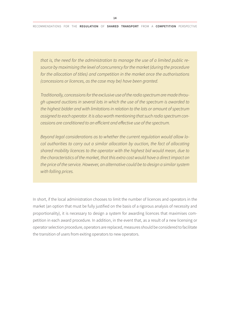*that is, the need for the administration to manage the use of a limited public resource by maximising the level of concurrency for the market (during the procedure for the allocation of titles) and competition in the market once the authorisations (concessions or licences, as the case may be) have been granted.*

*Traditionally, concessions for the exclusive use of the radio spectrum are made through upward auctions in several lots in which the use of the spectrum is awarded to the highest bidder and with limitations in relation to the lots or amount of spectrum assigned to each operator. It is also worth mentioning that such radio spectrum concessions are conditioned to an efficient and effective use of the spectrum.*

*Beyond legal considerations as to whether the current regulation would allow local authorities to carry out a similar allocation by auction, the fact of allocating shared mobility licences to the operator with the highest bid would mean, due to the characteristics of the market, that this extra cost would have a direct impact on the price of the service. However, an alternative could be to design a similar system with falling prices.*

In short, if the local administration chooses to limit the number of licences and operators in the market (an option that must be fully justified on the basis of a rigorous analysis of necessity and proportionality), it is necessary to design a system for awarding licences that maximises competition in each award procedure. In addition, in the event that, as a result of a new licensing or operator selection procedure, operators are replaced, measures should be considered to facilitate the transition of users from exiting operators to new operators.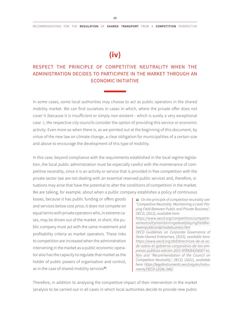### **(iv)**

#### RESPECT THE PRINCIPLE OF COMPETITIVE NEUTRALITY WHEN THE ADMINISTRATION DECIDES TO PARTICIPATE IN THE MARKET THROUGH AN ECONOMIC INITIATIVE

In some cases, some local authorities may choose to act as public operators in the shared mobility market. We can find ourselves in cases in which, where the private offer does not cover it (because it is insufficient or simply non-existent - which is surely a very exceptional case -), the respective city councils consider the option of providing this service or economic activity. Even more so when there is, as we pointed out at the beginning of this document, by virtue of the new law on climate change, a clear obligation for municipalities of a certain size and above to encourage the development of this type of mobility.

In this case, beyond compliance with the requirements established in the local regime legislation, the local public administration must be especially careful with the maintenance of competitive neutrality, since it is an activity or service that is provided in free competition with the private sector (we are not dealing with an essential reserved public service) and, therefore, situations may arise that have the potential to alter the conditions of competition in the market. We are talking, for example, about when a public company establishes a policy of continuous

losses, because it has public funding or offers goods and services below cost price, it does not compete on equal terms with private operators who, in extreme cases, may be driven out of the market. In short, the public company must act with the same investment and profitability criteria as market operators. These risks to competition are increased when the administration intervening in the market as a public economic operator also has the capacity to regulate that market as the holder of public powers of organisation and control, as in the case of shared mobility services<sup>22</sup>.

22 *- On the principle of competitive neutrality see: "Competitive Neutrality: Maintaining a Level Playing Field Between Public and Private Business", OECD, (2012), available here: [https://www.oecd.org/competition/competiti](https://www.oecd.org/competition/competitiveneutralitymaintainingalevelplayingfieldbetweenpublicandprivatebusiness.htm)[veneutralitymaintainingalevelplayingfieldbe](https://www.oecd.org/competition/competitiveneutralitymaintainingalevelplayingfieldbetweenpublicandprivatebusiness.htm)[tweenpublicandprivatebusiness.htm](https://www.oecd.org/competition/competitiveneutralitymaintainingalevelplayingfieldbetweenpublicandprivatebusiness.htm) OECD Guidelines on Corporate Governance of State-Owned Enterprises, (2015), available here: [https://www.oecd.org/daf/directrices-de-la-oc](https://www.oecd.org/daf/directrices-de-la-ocde-sobre-el-gobierno-corporativo-de-las-empresas-publicas-edicion-2015-9789264258167-es.htm)[de-sobre-el-gobierno-corporativo-de-las-em](https://www.oecd.org/daf/directrices-de-la-ocde-sobre-el-gobierno-corporativo-de-las-empresas-publicas-edicion-2015-9789264258167-es.htm)[presas-publicas-edicion-2015-9789264258167-es.](https://www.oecd.org/daf/directrices-de-la-ocde-sobre-el-gobierno-corporativo-de-las-empresas-publicas-edicion-2015-9789264258167-es.htm) [htm](https://www.oecd.org/daf/directrices-de-la-ocde-sobre-el-gobierno-corporativo-de-las-empresas-publicas-edicion-2015-9789264258167-es.htm) and "Recommendation of the Council on Competitive Neutrality", OECD, (2021), available here: [https://legalinstruments.oecd.org/en/instru](https://legalinstruments.oecd.org/en/instruments/OECD-LEGAL-0462)[ments/OECD-LEGAL-0462](https://legalinstruments.oecd.org/en/instruments/OECD-LEGAL-0462)*

Therefore, in addition to analysing the competitive impact of their intervention in the market (analysis to be carried out in all cases in which local authorities decide to provide new public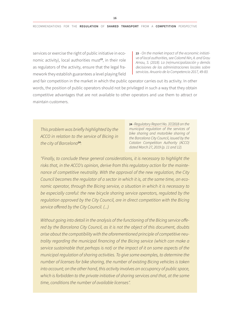services or exercise the right of public initiative in economic activity), local authorities must<sup>23</sup>, in their role as regulators of the activity, ensure that the legal framework they establish guarantees a level playing field

23 *- On the market impact of the economic initiative of local authorities, see Colomé Nin, A. and Grau Arnau, S. (2018). La (re)municipalización y demás decisiones de las administraciones locales sobre servicios. Anuario de la Competencia 2017, 49-83.*

and fair competition in the market in which the public operator carries out its activity. In other words, the position of public operators should not be privileged in such a way that they obtain competitive advantages that are not available to other operators and use them to attract or maintain customers.

*This problem was briefly highlighted by the ACCO in relation to the service of Bicing in the city of Barcelona*<sup>24</sup>*:*

24 *- [Regulatory Report No. 37/2018](http://acco.gencat.cat/ca/detall/article/20190401_IR-37-2018-Sharing-Ajuntament-Barcelona) on the municipal regulation of the services of bike sharing and motorbike sharing of the Barcelona City Council, issued by the Catalan Competition Authority (ACCO) dated March 27, 2019 (p. 11 and 12).*

*"Finally, to conclude these general considerations, it is necessary to highlight the risks that, in the ACCO's opinion, derive from this regulatory action for the maintenance of competitive neutrality. With the approval of the new regulation, the City Council becomes the regulator of a sector in which it is, at the same time, an economic operator, through the Bicing service, a situation in which it is necessary to be especially careful: the new bicycle sharing service operators, regulated by the regulation approved by the City Council, are in direct competition with the Bicing service offered by the City Council. (...)*

*Without going into detail in the analysis of the functioning of the Bicing service offered by the Barcelona City Council, as it is not the object of this document, doubts arise about the compatibility with the aforementioned principle of competitive neutrality regarding the municipal financing of the Bicing service (which can make a service sustainable that perhaps is not) or the impact of it on some aspects of the municipal regulation of sharing activities. To give some examples, to determine the number of licenses for bike sharing, the number of existing Bicing vehicles is taken into account; on the other hand, this activity involves an occupancy of public space, which is forbidden to the private initiative of sharing services and that, at the same time, conditions the number of available licenses".*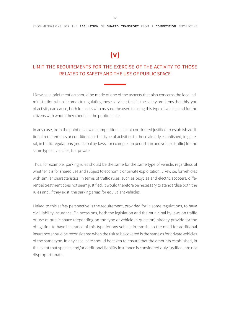### **(v)**

#### LIMIT THE REQUIREMENTS FOR THE EXERCISE OF THE ACTIVITY TO THOSE RELATED TO SAFETY AND THE USE OF PUBLIC SPACE

Likewise, a brief mention should be made of one of the aspects that also concerns the local administration when it comes to regulating these services, that is, the safety problems that this type of activity can cause, both for users who may not be used to using this type of vehicle and for the citizens with whom they coexist in the public space.

In any case, from the point of view of competition, it is not considered justified to establish additional requirements or conditions for this type of activities to those already established, in general, in traffic regulations (municipal by-laws, for example, on pedestrian and vehicle traffic) for the same type of vehicles, but private.

Thus, for example, parking rules should be the same for the same type of vehicle, regardless of whether it is for shared use and subject to economic or private exploitation. Likewise, for vehicles with similar characteristics, in terms of traffic rules, such as bicycles and electric scooters, differential treatment does not seem justified. It would therefore be necessary to standardise both the rules and, if they exist, the parking areas for equivalent vehicles.

Linked to this safety perspective is the requirement, provided for in some regulations, to have civil liability insurance. On occasions, both the legislation and the municipal by-laws on traffic or use of public space (depending on the type of vehicle in question) already provide for the obligation to have insurance of this type for any vehicle in transit, so the need for additional insurance should be reconsidered when the risk to be covered is the same as for private vehicles of the same type. In any case, care should be taken to ensure that the amounts established, in the event that specific and/or additional liability insurance is considered duly justified, are not disproportionate.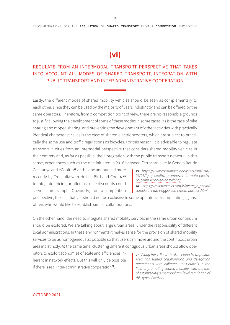## **(vi)**

### REGULATE FROM AN INTERMODAL TRANSPORT PERSPECTIVE THAT TAKES INTO ACCOUNT ALL MODES OF SHARED TRANSPORT, INTEGRATION WITH PUBLIC TRANSPORT AND INTER-ADMINISTRATIVE COOPERATION

Lastly, the different modes of shared mobility vehicles should be seen as complementary to each other, since they can be used by the majority of users indistinctly and can be offered by the same operators. Therefore, from a competition point of view, there are no reasonable grounds to justify allowing the development of some of these modes in some cases, as is the case of bike sharing and moped sharing, and preventing the development of other activities with practically identical characteristics, as is the case of shared electric scooters, which are subject to practically the same use and traffic regulations as bicycles. For this reason, it is advisable to regulate transport in cities from an intermodal perspective that considers shared mobility vehicles in their entirety and, as far as possible, their integration with the public transport network. In this sense, experiences such as the one initiated in 2016 between Ferrocarrils de la Generalitat de

Catalunya and eCooltra<sup>25</sup> or the one announced more recently by Trenitalia with Helbiz, Bird and Cooltra<sup>26</sup> to integrate pricing or offer last-mile discounts could serve as an example. Obviously, from a competition

25 *- [https://www.consumocolaborativo.com/2016/](https://www.consumocolaborativo.com/2016/09/06/fgc-y-cooltra-promueven-la-moto-electrica-compartida-en-barcelona/) [09/06/fgc-y-cooltra-promueven-la-moto-electri](https://www.consumocolaborativo.com/2016/09/06/fgc-y-cooltra-promueven-la-moto-electrica-compartida-en-barcelona/)[ca-compartida-en-barcelona/](https://www.consumocolaborativo.com/2016/09/06/fgc-y-cooltra-promueven-la-moto-electrica-compartida-en-barcelona/)*

26 *- [https://www.trenitalia.com/it/offerte\\_e\\_servizi/](https://www.trenitalia.com/it/offerte_e_servizi/completa-il-tuo-viaggio-con-i-nostri-partner-.html) [completa-il-tuo-viaggio-con-i-nostri-partner-.html](https://www.trenitalia.com/it/offerte_e_servizi/completa-il-tuo-viaggio-con-i-nostri-partner-.html)*

perspective, these initiatives should not be exclusive to some operators, discriminating against others who would like to establish similar collaborations.

On the other hand, the need to integrate shared mobility services in the same urban continuum should be explored. We are talking about large urban areas, under the responsibility of different local administrations. In these environments it makes sense for the provision of shared mobility services to be as homogeneous as possible so that users can move around the continuous urban area indistinctly. At the same time, clustering different contiguous urban areas should allow ope-

rators to exploit economies of scale and efficiencies inherent in network effects. But this will only be possible if there is real inter-administrative cooperation<sup>27</sup>.

27 *- Along these lines, the Barcelona Metropolitan Area has signed collaboration and delegation agreements with different City Councils in the field of promoting shared mobility, with the aim of establishing a metropolitan-level regulation of this type of activity.*

OCTOBER 2021